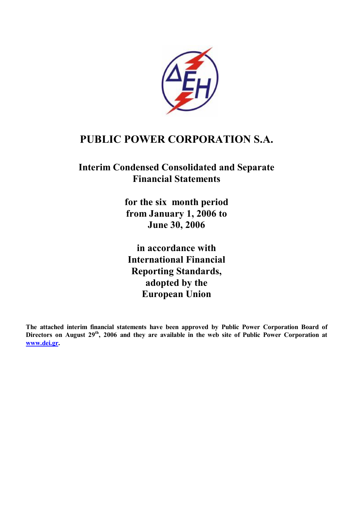

# **PUBLIC POWER CORPORATION S.A.**

# **Interim Condensed Consolidated and Separate Financial Statements**

**for the six month period from January 1, 2006 to June 30, 2006** 

**in accordance with International Financial Reporting Standards, adopted by the European Union** 

**The attached interim financial statements have been approved by Public Power Corporation Board of**  Directors on August 29<sup>th</sup>, 2006 and they are available in the web site of Public Power Corporation at **[www.dei.gr](http://www.dei.gr).**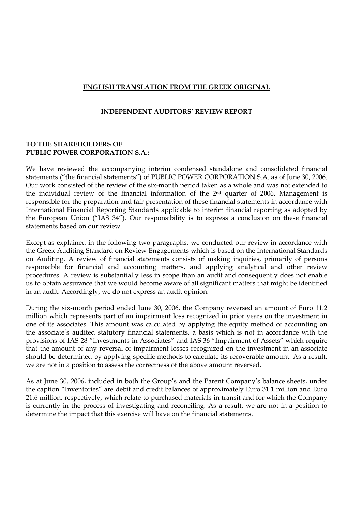# **ENGLISH TRANSLATION FROM THE GREEK ORIGINAL**

#### **INDEPENDENT AUDITORS' REVIEW REPORT**

### **TO THE SHAREHOLDERS OF PUBLIC POWER CORPORATION S.A.:**

We have reviewed the accompanying interim condensed standalone and consolidated financial statements ("the financial statements") of PUBLIC POWER CORPORATION S.A. as of June 30, 2006. Our work consisted of the review of the six-month period taken as a whole and was not extended to the individual review of the financial information of the 2nd quarter of 2006. Management is responsible for the preparation and fair presentation of these financial statements in accordance with International Financial Reporting Standards applicable to interim financial reporting as adopted by the European Union ("IAS 34"). Our responsibility is to express a conclusion on these financial statements based on our review.

Except as explained in the following two paragraphs, we conducted our review in accordance with the Greek Auditing Standard on Review Engagements which is based on the International Standards on Auditing. A review of financial statements consists of making inquiries, primarily of persons responsible for financial and accounting matters, and applying analytical and other review procedures. A review is substantially less in scope than an audit and consequently does not enable us to obtain assurance that we would become aware of all significant matters that might be identified in an audit. Accordingly, we do not express an audit opinion.

During the six-month period ended June 30, 2006, the Company reversed an amount of Euro 11.2 million which represents part of an impairment loss recognized in prior years on the investment in one of its associates. This amount was calculated by applying the equity method of accounting on the associate's audited statutory financial statements, a basis which is not in accordance with the provisions of IAS 28 "Investments in Associates" and IAS 36 "Impairment of Assets" which require that the amount of any reversal of impairment losses recognized on the investment in an associate should be determined by applying specific methods to calculate its recoverable amount. As a result, we are not in a position to assess the correctness of the above amount reversed.

As at June 30, 2006, included in both the Group's and the Parent Company's balance sheets, under the caption "Inventories" are debit and credit balances of approximately Euro 31.1 million and Euro 21.6 million, respectively, which relate to purchased materials in transit and for which the Company is currently in the process of investigating and reconciling. As a result, we are not in a position to determine the impact that this exercise will have on the financial statements.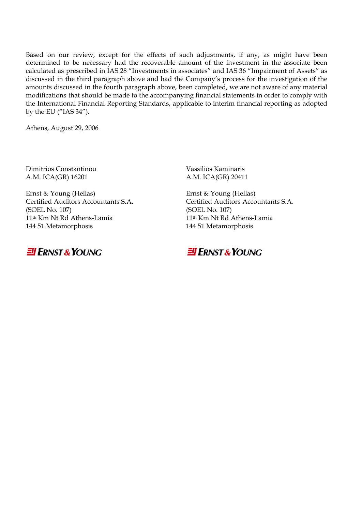Based on our review, except for the effects of such adjustments, if any, as might have been determined to be necessary had the recoverable amount of the investment in the associate been calculated as prescribed in IAS 28 "Investments in associates" and IAS 36 "Impairment of Assets" as discussed in the third paragraph above and had the Company's process for the investigation of the amounts discussed in the fourth paragraph above, been completed, we are not aware of any material modifications that should be made to the accompanying financial statements in order to comply with the International Financial Reporting Standards, applicable to interim financial reporting as adopted by the EU ("IAS 34").

Athens, August 29, 2006

Dimitrios Constantinou Vassilios Kaminaris Α.Μ. ICA(GR) 16201 Α.Μ. ICA(GR) 20411

Ernst & Young (Hellas) Ernst & Young (Hellas) (SOEL No. 107) (SOEL No. 107) 11<sup>th</sup> Km Nt Rd Athens-Lamia 11<sup>th</sup> Km Nt Rd Athens-Lamia 144 51 Metamorphosis 144 51 Metamorphosis



Certified Auditors Accountants S.A. Certified Auditors Accountants S.A.

# **El ERNST & YOUNG**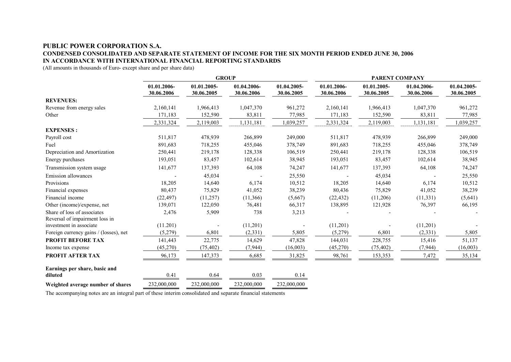#### **PUBLIC POWER CORPORATION S.A. CONDENSED CONSOLIDATED AND SEPARATE STATEMENT OF INCOME FOR THE SIX MONTH PERIOD ENDED JUNE 30, 2006 IN ACCORDANCE WITH INTERNATIONAL FINANCIAL REPORTING STANDARDS**

(All amounts in thousands of Euro- except share and per share data)

|                                          | <b>GROUP</b>              |                           |                           |                           | <b>PARENT COMPANY</b>     |                           |                           |                           |
|------------------------------------------|---------------------------|---------------------------|---------------------------|---------------------------|---------------------------|---------------------------|---------------------------|---------------------------|
|                                          | 01.01.2006-<br>30.06.2006 | 01.01.2005-<br>30.06.2005 | 01.04.2006-<br>30.06.2006 | 01.04.2005-<br>30.06.2005 | 01.01.2006-<br>30.06.2006 | 01.01.2005-<br>30.06.2005 | 01.04.2006-<br>30.06.2006 | 01.04.2005-<br>30.06.2005 |
| <b>REVENUES:</b>                         |                           |                           |                           |                           |                           |                           |                           |                           |
| Revenue from energy sales                | 2,160,141                 | 1,966,413                 | 1,047,370                 | 961,272                   | 2,160,141                 | 1,966,413                 | 1,047,370                 | 961,272                   |
| Other                                    | 171,183                   | 152,590                   | 83,811                    | 77,985                    | 171,183                   | 152,590                   | 83,811                    | 77,985                    |
|                                          | 2,331,324                 | 2,119,003                 | 1,131,181                 | 1,039,257                 | 2,331,324                 | 2,119,003                 | 1,131,181                 | 1,039,257                 |
| <b>EXPENSES:</b>                         |                           |                           |                           |                           |                           |                           |                           |                           |
| Payroll cost                             | 511,817                   | 478,939                   | 266,899                   | 249,000                   | 511,817                   | 478,939                   | 266,899                   | 249,000                   |
| Fuel                                     | 891,683                   | 718,255                   | 455,046                   | 378,749                   | 891,683                   | 718,255                   | 455,046                   | 378,749                   |
| Depreciation and Amortization            | 250,441                   | 219,178                   | 128,338                   | 106,519                   | 250,441                   | 219,178                   | 128,338                   | 106,519                   |
| Energy purchases                         | 193,051                   | 83,457                    | 102,614                   | 38,945                    | 193,051                   | 83,457                    | 102,614                   | 38,945                    |
| Transmission system usage                | 141,677                   | 137,393                   | 64,108                    | 74,247                    | 141,677                   | 137,393                   | 64,108                    | 74,247                    |
| <b>Emission allowances</b>               |                           | 45,034                    |                           | 25,550                    |                           | 45,034                    |                           | 25,550                    |
| Provisions                               | 18,205                    | 14,640                    | 6,174                     | 10,512                    | 18,205                    | 14,640                    | 6,174                     | 10,512                    |
| Financial expenses                       | 80,437                    | 75,829                    | 41,052                    | 38,239                    | 80,436                    | 75,829                    | 41,052                    | 38,239                    |
| Financial income                         | (22, 497)                 | (11,257)                  | (11,366)                  | (5,667)                   | (22, 432)                 | (11,206)                  | (11, 331)                 | (5,641)                   |
| Other (income)/expense, net              | 139,071                   | 122,050                   | 76,481                    | 66,317                    | 138,895                   | 121,928                   | 76,397                    | 66,195                    |
| Share of loss of associates              | 2,476                     | 5,909                     | 738                       | 3,213                     |                           |                           |                           |                           |
| Reversal of impairment loss in           |                           |                           |                           |                           |                           |                           |                           |                           |
| investment in associate                  | (11.201)                  |                           | (11,201)                  |                           | (11,201)                  |                           | (11,201)                  |                           |
| Foreign currency gains / (losses), net   | (5,279)                   | 6,801                     | (2, 331)                  | 5,805                     | (5,279)                   | 6,801                     | (2, 331)                  | 5,805                     |
| <b>PROFIT BEFORE TAX</b>                 | 141,443                   | 22,775                    | 14,629                    | 47,828                    | 144,031                   | 228,755                   | 15,416                    | 51,137                    |
| Income tax expense                       | (45,270)                  | (75, 402)                 | (7,944)                   | (16,003)                  | (45,270)                  | (75, 402)                 | (7, 944)                  | (16,003)                  |
| <b>PROFIT AFTER TAX</b>                  | 96,173                    | 147,373                   | 6,685                     | 31,825                    | 98,761                    | 153,353                   | 7,472                     | 35,134                    |
| Earnings per share, basic and<br>diluted | 0.41                      | 0.64                      | 0.03                      | 0.14                      |                           |                           |                           |                           |
| Weighted average number of shares        | 232,000,000               | 232,000,000               | 232,000,000               | 232,000,000               |                           |                           |                           |                           |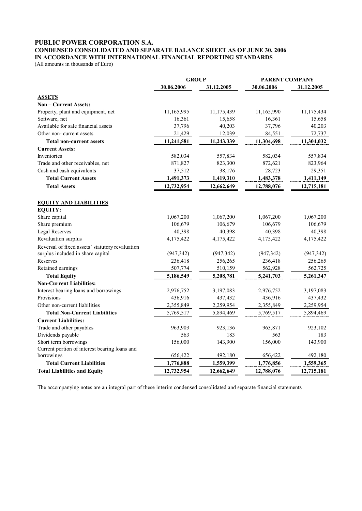# **PUBLIC POWER CORPORATION S.A.**

#### **CONDENSED CONSOLIDATED AND SEPARATE BALANCE SHEET AS OF JUNE 30, 2006 IN ACCORDANCE WITH INTERNATIONAL FINANCIAL REPORTING STANDARDS**

(All amounts in thousands of Euro)

|                                                 | <b>GROUP</b> |            | <b>PARENT COMPANY</b> |            |  |
|-------------------------------------------------|--------------|------------|-----------------------|------------|--|
|                                                 | 30.06.2006   | 31.12.2005 | 30.06.2006            | 31.12.2005 |  |
| <b>ASSETS</b>                                   |              |            |                       |            |  |
| Non - Current Assets:                           |              |            |                       |            |  |
| Property, plant and equipment, net              | 11,165,995   | 11,175,439 | 11,165,990            | 11,175,434 |  |
| Software, net                                   | 16,361       | 15,658     | 16,361                | 15,658     |  |
| Available for sale financial assets             | 37,796       | 40,203     | 37,796                | 40,203     |  |
| Other non-current assets                        | 21,429       | 12,039     | 84,551                | 72,737     |  |
| <b>Total non-current assets</b>                 | 11,241,581   | 11,243,339 | 11,304,698            | 11,304,032 |  |
| <b>Current Assets:</b>                          |              |            |                       |            |  |
| Inventories                                     | 582,034      | 557,834    | 582,034               | 557,834    |  |
| Trade and other receivables, net                | 871,827      | 823,300    | 872,621               | 823,964    |  |
| Cash and cash equivalents                       | 37,512       | 38,176     | 28,723                | 29,351     |  |
| <b>Total Current Assets</b>                     | 1,491,373    | 1,419,310  | 1,483,378             | 1,411,149  |  |
| <b>Total Assets</b>                             | 12,732,954   | 12,662,649 | 12,788,076            | 12,715,181 |  |
|                                                 |              |            |                       |            |  |
| <b>EQUITY AND LIABILITIES</b>                   |              |            |                       |            |  |
| <b>EQUITY:</b>                                  |              |            |                       |            |  |
| Share capital                                   | 1,067,200    | 1,067,200  | 1,067,200             | 1,067,200  |  |
| Share premium                                   | 106,679      | 106,679    | 106,679               | 106,679    |  |
| <b>Legal Reserves</b>                           | 40,398       | 40,398     | 40,398                | 40,398     |  |
| Revaluation surplus                             | 4,175,422    | 4,175,422  | 4,175,422             | 4,175,422  |  |
| Reversal of fixed assets' statutory revaluation |              |            |                       |            |  |
| surplus included in share capital               | (947, 342)   | (947, 342) | (947, 342)            | (947, 342) |  |
| Reserves                                        | 236,418      | 256,265    | 236,418               | 256,265    |  |
| Retained earnings                               | 507,774      | 510,159    | 562,928               | 562,725    |  |
| <b>Total Equity</b>                             | 5,186,549    | 5,208,781  | 5,241,703             | 5,261,347  |  |
| <b>Non-Current Liabilities:</b>                 |              |            |                       |            |  |
| Interest bearing loans and borrowings           | 2,976,752    | 3,197,083  | 2,976,752             | 3,197,083  |  |
| Provisions                                      | 436,916      | 437,432    | 436,916               | 437,432    |  |
| Other non-current liabilities                   | 2,355,849    | 2,259,954  | 2,355,849             | 2,259,954  |  |
| <b>Total Non-Current Liabilities</b>            | 5,769,517    | 5,894,469  | 5,769,517             | 5,894,469  |  |
| <b>Current Liabilities:</b>                     |              |            |                       |            |  |
| Trade and other payables                        | 963,903      | 923,136    | 963,871               | 923,102    |  |
| Dividends payable                               | 563          | 183        | 563                   | 183        |  |
| Short term borrowings                           | 156,000      | 143,900    | 156,000               | 143,900    |  |
| Current portion of interest bearing loans and   |              |            |                       |            |  |
| borrowings                                      | 656,422      | 492,180    | 656,422               | 492,180    |  |
| <b>Total Current Liabilities</b>                | 1,776,888    | 1,559,399  | 1,776,856             | 1,559,365  |  |
| <b>Total Liabilities and Equity</b>             | 12,732,954   | 12,662,649 | 12,788,076            | 12,715,181 |  |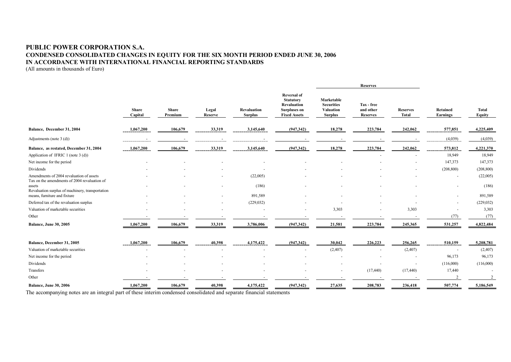### **PUBLIC POWER CORPORATION S.A. CONDENSED CONSOLIDATED CHANGES IN EQUITY FOR THE SIX MONTH PERIOD ENDED JUNE 30, 2006 IN ACCORDANCE WITH INTERNATIONAL FINANCIAL REPORTING STANDARDS**

(All amounts in thousands of Euro)

|                                                                                                            |                         |                         |                  |                               |                                                                                                     | <b>Reserves</b>                                                       |                                            |                                 |                             |                        |
|------------------------------------------------------------------------------------------------------------|-------------------------|-------------------------|------------------|-------------------------------|-----------------------------------------------------------------------------------------------------|-----------------------------------------------------------------------|--------------------------------------------|---------------------------------|-----------------------------|------------------------|
|                                                                                                            | <b>Share</b><br>Capital | <b>Share</b><br>Premium | Legal<br>Reserve | Revaluation<br><b>Surplus</b> | <b>Reversal of</b><br><b>Statutory</b><br>Revaluation<br><b>Surpluses on</b><br><b>Fixed Assets</b> | Marketable<br><b>Securities</b><br><b>Valuation</b><br><b>Surplus</b> | Tax - free<br>and other<br><b>Reserves</b> | <b>Reserves</b><br><b>Total</b> | Retained<br><b>Earnings</b> | <b>Total</b><br>Equity |
| Balance, December 31, 2004                                                                                 | 1,067,200               | 106,679                 | 33,319           | 3,145,640                     | (947, 342)                                                                                          | 18,278                                                                | 223,784                                    | 242,062                         | 577,851                     | 4,225,409              |
| Adjustments (note $3$ (d))                                                                                 |                         |                         |                  |                               |                                                                                                     |                                                                       |                                            |                                 | (4,039)                     | (4,039)                |
| Balance, as restated, December 31, 2004                                                                    | 1,067,200               | 106,679                 | 33,319           | 3,145,640                     | (947, 342)                                                                                          | 18,278                                                                | 223,784                                    | 242,062                         | 573,812                     | 4,221,370              |
| Application of IFRIC 1 (note 3 (d))                                                                        |                         |                         |                  |                               |                                                                                                     |                                                                       |                                            |                                 | 18,949                      | 18,949                 |
| Net income for the period                                                                                  |                         |                         |                  |                               |                                                                                                     |                                                                       |                                            |                                 | 147,373                     | 147,373                |
| Dividends                                                                                                  |                         |                         |                  |                               |                                                                                                     |                                                                       |                                            |                                 | (208, 800)                  | (208, 800)             |
| Amendments of 2004 revaluation of assets                                                                   |                         |                         |                  | (22,005)                      |                                                                                                     |                                                                       |                                            |                                 |                             | (22,005)               |
| Tax on the amendments of 2004 revaluation of<br>assets<br>Revaluation surplus of machinery, transportation |                         |                         |                  | (186)                         |                                                                                                     |                                                                       |                                            |                                 |                             | (186)                  |
| means, furniture and fixture                                                                               |                         |                         | $\sim$           | 891,589                       |                                                                                                     |                                                                       |                                            |                                 |                             | 891,589                |
| Deferred tax of the revaluation surplus                                                                    |                         |                         |                  | (229, 032)                    |                                                                                                     |                                                                       |                                            |                                 |                             | (229, 032)             |
| Valuation of marketable securities                                                                         |                         |                         |                  |                               |                                                                                                     | 3,303                                                                 |                                            | 3,303                           |                             | 3,303                  |
| Other                                                                                                      |                         |                         |                  |                               |                                                                                                     |                                                                       |                                            |                                 | (77)                        | (77)                   |
| <b>Balance, June 30, 2005</b>                                                                              | 1,067,200               | 106,679                 | 33,319           | 3,786,006                     | (947, 342)                                                                                          | 21,581                                                                | 223,784                                    | 245,365                         | 531,257                     | 4,822,484              |
| Balance, December 31, 2005                                                                                 | 1,067,200               | 106,679                 | 40,398           | 4,175,422                     | (947, 342)                                                                                          | 30,042                                                                | 226,223                                    | 256,265                         | 510,159                     | 5,208,781              |
| Valuation of marketable securities                                                                         |                         |                         |                  |                               |                                                                                                     | (2,407)                                                               |                                            | (2,407)                         |                             | (2,407)                |
| Net income for the period                                                                                  |                         |                         |                  |                               |                                                                                                     |                                                                       |                                            | $\blacksquare$                  | 96,173                      | 96,173                 |
| Dividends                                                                                                  |                         |                         |                  |                               |                                                                                                     |                                                                       |                                            |                                 | (116,000)                   | (116,000)              |
| Transfers                                                                                                  |                         |                         |                  |                               |                                                                                                     | $\overline{\phantom{a}}$                                              | (17, 440)                                  | (17, 440)                       | 17,440                      |                        |
| Other                                                                                                      |                         |                         |                  |                               |                                                                                                     |                                                                       |                                            |                                 |                             |                        |
| Balance, June 30, 2006                                                                                     | 1,067,200               | 106,679                 | 40,398           | 4,175,422                     | (947, 342)                                                                                          | 27,635                                                                | 208,783                                    | 236,418                         | 507,774                     | 5,186,549              |
|                                                                                                            |                         |                         |                  |                               |                                                                                                     |                                                                       |                                            |                                 |                             |                        |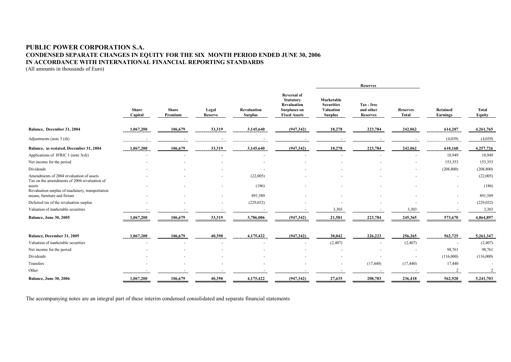### **PUBLIC POWER CORPORATION S.A. CONDENSED SEPARATE CHANGES IN EQUITY FOR THE SIX MONTH PERIOD ENDED JUNE 30, 2006 IN ACCORDANCE WITH INTERNATIONAL FINANCIAL REPORTING STANDARDS**

(All amounts in thousands of Euro)

|                                                                                          |                         |                           |                |                                      |                                                                                                     | <b>Reserves</b>                                                       |                                            |                                 |                      |                        |
|------------------------------------------------------------------------------------------|-------------------------|---------------------------|----------------|--------------------------------------|-----------------------------------------------------------------------------------------------------|-----------------------------------------------------------------------|--------------------------------------------|---------------------------------|----------------------|------------------------|
|                                                                                          | <b>Share</b><br>Capital | Share<br>Legal<br>Premium | <b>Reserve</b> | <b>Revaluation</b><br><b>Surplus</b> | <b>Reversal of</b><br><b>Statutory</b><br>Revaluation<br><b>Surpluses on</b><br><b>Fixed Assets</b> | Marketable<br><b>Securities</b><br><b>Valuation</b><br><b>Surplus</b> | Tax - free<br>and other<br><b>Reserves</b> | <b>Reserves</b><br><b>Total</b> | Retained<br>Earnings | <b>Total</b><br>Equity |
| Balance, December 31, 2004                                                               | 1,067,200               | 106,679                   | 33,319         | 3,145,640                            | (947,342)                                                                                           | 18,278                                                                | 223,784                                    | 242,062                         | 614,207              | 4,261,765              |
| Adjustments (note $3$ (d))                                                               |                         |                           |                |                                      |                                                                                                     | $\overline{\phantom{a}}$                                              |                                            |                                 | (4,039)              | (4,039)                |
| Balance, as restated, December 31, 2004                                                  | 1,067,200               | 106,679                   | 33,319         | 3,145,640                            | (947, 342)                                                                                          | 18,278                                                                | 223,784                                    | 242,062                         | 610,168              | 4,257,726              |
| Applications of IFRIC 1 (note $3(d)$ )                                                   |                         |                           |                |                                      |                                                                                                     |                                                                       |                                            |                                 | 18,949               | 18,949                 |
| Net income for the period                                                                |                         |                           |                |                                      |                                                                                                     |                                                                       |                                            |                                 | 153,353              | 153,353                |
| Dividends                                                                                |                         |                           |                |                                      |                                                                                                     |                                                                       |                                            |                                 | (208, 800)           | (208, 800)             |
| Amendments of 2004 revaluation of assets<br>Tax on the amendments of 2004 revaluation of |                         |                           |                | (22,005)                             |                                                                                                     |                                                                       |                                            |                                 |                      | (22,005)               |
| assets<br>Revaluation surplus of machinery, transportation                               |                         |                           |                | (186)                                |                                                                                                     |                                                                       |                                            |                                 |                      | (186)                  |
| means, furniture and fixture                                                             |                         |                           | $\blacksquare$ | 891,589                              |                                                                                                     |                                                                       |                                            |                                 |                      | 891,589                |
| Deferred tax of the revaluation surplus                                                  |                         |                           |                | (229, 032)                           |                                                                                                     |                                                                       |                                            |                                 |                      | (229, 032)             |
| Valuation of marketable securities                                                       |                         |                           |                |                                      |                                                                                                     | 3,303                                                                 |                                            | 3,303                           |                      | 3,303                  |
| <b>Balance, June 30, 2005</b>                                                            | 1,067,200               | 106,679                   | 33,319         | 3,786,006                            | (947, 342)                                                                                          | 21,581                                                                | 223,784                                    | 245,365                         | 573,670              | 4,864,897              |
| Balance, December 31, 2005                                                               | 1,067,200               | 106,679                   | 40,398         | 4,175,422                            | (947, 342)                                                                                          | 30,042                                                                | 226,223                                    | 256,265                         | 562,725              | 5,261,347              |
| Valuation of marketable securities                                                       |                         |                           |                |                                      |                                                                                                     | (2,407)                                                               | $\overline{\phantom{a}}$                   | (2,407)                         |                      | (2,407)                |
| Net income for the period                                                                |                         |                           |                |                                      |                                                                                                     |                                                                       |                                            | $\blacksquare$                  | 98,761               | 98,761                 |
| Dividends                                                                                |                         |                           |                |                                      |                                                                                                     |                                                                       |                                            |                                 | (116,000)            | (116,000)              |
| Transfers                                                                                |                         |                           |                |                                      |                                                                                                     |                                                                       | (17, 440)                                  | (17, 440)                       | 17,440               |                        |
| Other                                                                                    |                         |                           |                |                                      |                                                                                                     |                                                                       |                                            |                                 |                      |                        |
| <b>Balance, June 30, 2006</b>                                                            | 1,067,200               | 106,679                   | 40,398         | 4,175,422                            | (947, 342)                                                                                          | 27,635                                                                | 208,783                                    | 236,418                         | 562,928              | 5,241,703              |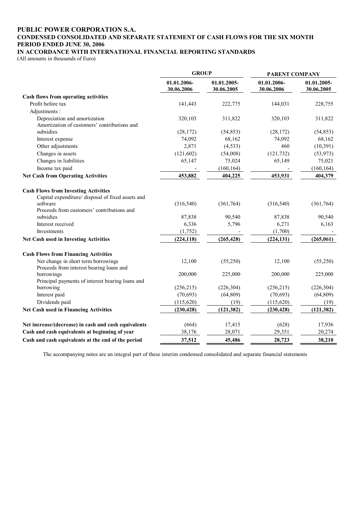#### **PUBLIC POWER CORPORATION S.A. CONDENSED CONSOLIDATED AND SEPARATE STATEMENT OF CASH FLOWS FOR THE SIX MONTH PERIOD ENDED JUNE 30, 2006 IN ACCORDANCE WITH INTERNATIONAL FINANCIAL REPORTING STANDARDS**

(All amounts in thousands of Euro)

|                                                                                                                                                            | <b>GROUP</b>              |                           | PARENT COMPANY            |                           |  |
|------------------------------------------------------------------------------------------------------------------------------------------------------------|---------------------------|---------------------------|---------------------------|---------------------------|--|
|                                                                                                                                                            | 01.01.2006-<br>30.06.2006 | 01.01.2005-<br>30.06.2005 | 01.01.2006-<br>30.06.2006 | 01.01.2005-<br>30.06.2005 |  |
| Cash flows from operating activities                                                                                                                       |                           |                           |                           |                           |  |
| Profit before tax                                                                                                                                          | 141,443                   | 222,775                   | 144,031                   | 228,755                   |  |
| Adjustments:                                                                                                                                               |                           |                           |                           |                           |  |
| Depreciation and amortization                                                                                                                              | 320,103                   | 311,822                   | 320,103                   | 311,822                   |  |
| Amortization of customers' contributions and                                                                                                               |                           |                           |                           |                           |  |
| subsidies                                                                                                                                                  | (28, 172)                 | (54, 853)                 | (28, 172)                 | (54, 853)                 |  |
| Interest expense                                                                                                                                           | 74,092                    | 68,162                    | 74,092                    | 68,162                    |  |
| Other adjustments                                                                                                                                          | 2,871                     | (4, 533)                  | 460                       | (10, 391)                 |  |
| Changes in assets                                                                                                                                          | (121, 602)                | (54,008)                  | (121, 732)                | (53, 973)                 |  |
| Changes in liabilities                                                                                                                                     | 65,147                    | 75,024                    | 65,149                    | 75,021                    |  |
| Income tax paid                                                                                                                                            |                           | (160, 164)                |                           | (160, 164)                |  |
| <b>Net Cash from Operating Activities</b>                                                                                                                  | 453,882                   | 404,225                   | 453,931                   | 404,379                   |  |
| <b>Cash Flows from Investing Activities</b><br>Capital expenditure/ disposal of fixed assets and<br>software<br>Proceeds from customers' contributions and | (316, 540)                | (361,764)                 | (316, 540)                | (361, 764)                |  |
| subsidies                                                                                                                                                  | 87,838                    | 90,540                    | 87,838                    | 90,540                    |  |
| Interest received                                                                                                                                          | 6,336                     | 5,796                     | 6,271                     | 6,163                     |  |
| Investments                                                                                                                                                | (1, 752)                  |                           | (1,700)                   |                           |  |
| Net Cash used in Investing Activities                                                                                                                      | (224, 118)                | (265, 428)                | (224, 131)                | (265,061)                 |  |
| <b>Cash Flows from Financing Activities</b>                                                                                                                |                           |                           |                           |                           |  |
| Net change in short term borrowings<br>Proceeds from interest bearing loans and                                                                            | 12,100                    | (55,250)                  | 12,100                    | (55,250)                  |  |
| borrowings<br>Principal payments of interest bearing loans and                                                                                             | 200,000                   | 225,000                   | 200,000                   | 225,000                   |  |
| borrowing                                                                                                                                                  | (256, 215)                | (226, 304)                | (256, 215)                | (226, 304)                |  |
| Interest paid                                                                                                                                              | (70, 693)                 | (64, 809)                 | (70, 693)                 | (64, 809)                 |  |
| Dividends paid                                                                                                                                             | (115, 620)                | (19)                      | (115, 620)                | (19)                      |  |
| Net Cash used in Financing Activities                                                                                                                      | (230, 428)                | (121, 382)                | (230, 428)                | (121, 382)                |  |
| Net increase/(decrease) in cash and cash equivalents                                                                                                       | (664)                     | 17,415                    | (628)                     | 17,936                    |  |
| Cash and cash equivalents at beginning of year                                                                                                             | 38,176                    | 28,071                    | 29,351                    | 20,274                    |  |
| Cash and cash equivalents at the end of the period                                                                                                         | 37,512                    | 45,486                    | 28,723                    | 38,210                    |  |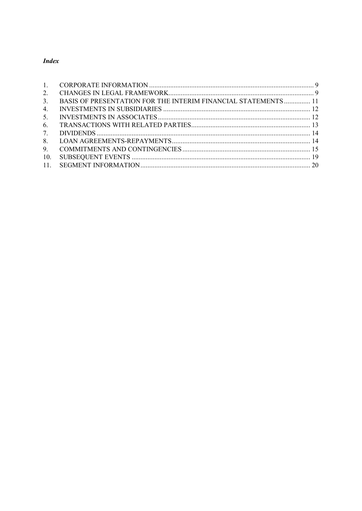# **Index**

| $1 \quad \blacksquare$ |                                                                       |  |
|------------------------|-----------------------------------------------------------------------|--|
| 2.                     |                                                                       |  |
| 3 <sub>1</sub>         | <b>BASIS OF PRESENTATION FOR THE INTERIM FINANCIAL STATEMENTS  11</b> |  |
| 4.                     |                                                                       |  |
| 5 <sub>1</sub>         |                                                                       |  |
| 6.                     |                                                                       |  |
| 7.                     |                                                                       |  |
| 8.                     |                                                                       |  |
| 9.                     |                                                                       |  |
| 10.                    |                                                                       |  |
|                        |                                                                       |  |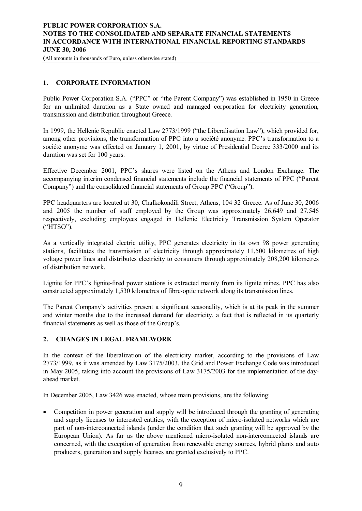## **PUBLIC POWER CORPORATION S.A. NOTES TO THE CONSOLIDATED AND SEPARATE FINANCIAL STATEMENTS IN ACCORDANCE WITH INTERNATIONAL FINANCIAL REPORTING STANDARDS JUNE 30, 2006**

**(**All amounts in thousands of Euro, unless otherwise stated)

## **1. CORPORATE INFORMATION**

Public Power Corporation S.A. ("PPC" or "the Parent Company") was established in 1950 in Greece for an unlimited duration as a State owned and managed corporation for electricity generation, transmission and distribution throughout Greece.

In 1999, the Hellenic Republic enacted Law 2773/1999 ("the Liberalisation Law"), which provided for, among other provisions, the transformation of PPC into a société anonyme. PPC's transformation to a société anonyme was effected on January 1, 2001, by virtue of Presidential Decree 333/2000 and its duration was set for 100 years.

Effective December 2001, PPC's shares were listed on the Athens and London Exchange. The accompanying interim condensed financial statements include the financial statements of PPC ("Parent Company") and the consolidated financial statements of Group PPC ("Group").

PPC headquarters are located at 30, Chalkokondili Street, Athens, 104 32 Greece. As of June 30, 2006 and 2005 the number of staff employed by the Group was approximately 26,649 and 27,546 respectively, excluding employees engaged in Hellenic Electricity Transmission System Operator ("HTSO").

As a vertically integrated electric utility, PPC generates electricity in its own 98 power generating stations, facilitates the transmission of electricity through approximately 11,500 kilometres of high voltage power lines and distributes electricity to consumers through approximately 208,200 kilometres of distribution network.

Lignite for PPC's lignite-fired power stations is extracted mainly from its lignite mines. PPC has also constructed approximately 1,530 kilometres of fibre-optic network along its transmission lines.

The Parent Company's activities present a significant seasonality, which is at its peak in the summer and winter months due to the increased demand for electricity, a fact that is reflected in its quarterly financial statements as well as those of the Group's.

## **2. CHANGES IN LEGAL FRAMEWORK**

In the context of the liberalization of the electricity market, according to the provisions of Law 2773/1999, as it was amended by Law 3175/2003, the Grid and Power Exchange Code was introduced in May 2005, taking into account the provisions of Law 3175/2003 for the implementation of the dayahead market.

In December 2005, Law 3426 was enacted, whose main provisions, are the following:

• Competition in power generation and supply will be introduced through the granting of generating and supply licenses to interested entities, with the exception of micro-isolated networks which are part of non-interconnected islands (under the condition that such granting will be approved by the European Union). As far as the above mentioned micro-isolated non-interconnected islands are concerned, with the exception of generation from renewable energy sources, hybrid plants and auto producers, generation and supply licenses are granted exclusively to PPC.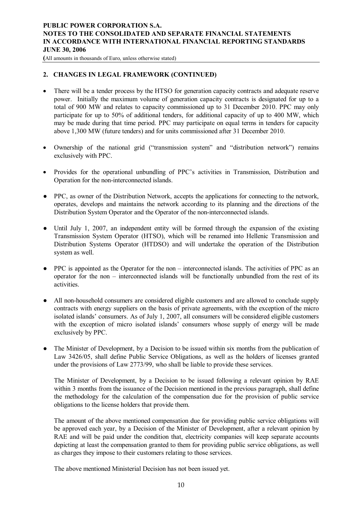## **PUBLIC POWER CORPORATION S.A. NOTES TO THE CONSOLIDATED AND SEPARATE FINANCIAL STATEMENTS IN ACCORDANCE WITH INTERNATIONAL FINANCIAL REPORTING STANDARDS JUNE 30, 2006**

**(**All amounts in thousands of Euro, unless otherwise stated)

## **2. CHANGES IN LEGAL FRAMEWORK (CONTINUED)**

- There will be a tender process by the HTSO for generation capacity contracts and adequate reserve power. Initially the maximum volume of generation capacity contracts is designated for up to a total of 900 MW and relates to capacity commissioned up to 31 December 2010. PPC may only participate for up to 50% of additional tenders, for additional capacity of up to 400 MW, which may be made during that time period. PPC may participate on equal terms in tenders for capacity above 1,300 MW (future tenders) and for units commissioned after 31 December 2010.
- · Ownership of the national grid ("transmission system" and "distribution network") remains exclusively with PPC.
- · Provides for the operational unbundling of PPC's activities in Transmission, Distribution and Operation for the non-interconnected islands.
- PPC, as owner of the Distribution Network, accepts the applications for connecting to the network, operates, develops and maintains the network according to its planning and the directions of the Distribution System Operator and the Operator of the non-interconnected islands.
- Until July 1, 2007, an independent entity will be formed through the expansion of the existing Transmission System Operator (HTSO), which will be renamed into Hellenic Transmission and Distribution Systems Operator (HTDSO) and will undertake the operation of the Distribution system as well.
- PPC is appointed as the Operator for the non interconnected islands. The activities of PPC as an operator for the non – interconnected islands will be functionally unbundled from the rest of its activities.
- All non-household consumers are considered eligible customers and are allowed to conclude supply contracts with energy suppliers on the basis of private agreements, with the exception of the micro isolated islands' consumers. As of July 1, 2007, all consumers will be considered eligible customers with the exception of micro isolated islands' consumers whose supply of energy will be made exclusively by PPC.
- The Minister of Development, by a Decision to be issued within six months from the publication of Law 3426/05, shall define Public Service Obligations, as well as the holders of licenses granted under the provisions of Law 2773/99, who shall be liable to provide these services.

The Minister of Development, by a Decision to be issued following a relevant opinion by RAE within 3 months from the issuance of the Decision mentioned in the previous paragraph, shall define the methodology for the calculation of the compensation due for the provision of public service obligations to the license holders that provide them.

The amount of the above mentioned compensation due for providing public service obligations will be approved each year, by a Decision of the Minister of Development, after a relevant opinion by RAE and will be paid under the condition that, electricity companies will keep separate accounts depicting at least the compensation granted to them for providing public service obligations, as well as charges they impose to their customers relating to those services.

The above mentioned Ministerial Decision has not been issued yet.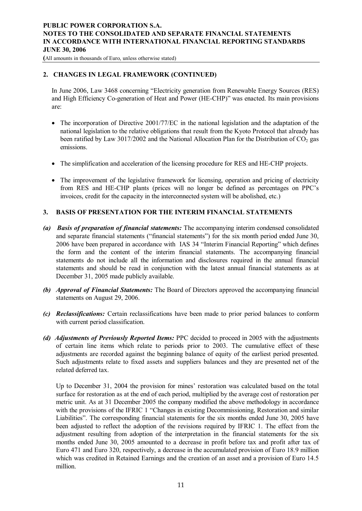## **PUBLIC POWER CORPORATION S.A. NOTES TO THE CONSOLIDATED AND SEPARATE FINANCIAL STATEMENTS IN ACCORDANCE WITH INTERNATIONAL FINANCIAL REPORTING STANDARDS JUNE 30, 2006**

**(**All amounts in thousands of Euro, unless otherwise stated)

## **2. CHANGES IN LEGAL FRAMEWORK (CONTINUED)**

In June 2006, Law 3468 concerning "Electricity generation from Renewable Energy Sources (RES) and High Efficiency Co-generation of Heat and Power (HE-CHP)" was enacted. Its main provisions are:

- The incorporation of Directive 2001/77/EC in the national legislation and the adaptation of the national legislation to the relative obligations that result from the Kyoto Protocol that already has been ratified by Law 3017/2002 and the National Allocation Plan for the Distribution of  $CO<sub>2</sub>$  gas emissions.
- · The simplification and acceleration of the licensing procedure for RES and HE-CHP projects.
- The improvement of the legislative framework for licensing, operation and pricing of electricity from RES and HE-CHP plants (prices will no longer be defined as percentages on PPC's invoices, credit for the capacity in the interconnected system will be abolished, etc.)

## **3. BASIS OF PRESENTATION FOR THE INTERIM FINANCIAL STATEMENTS**

- *(a) Basis of preparation of financial statements:* The accompanying interim condensed consolidated and separate financial statements ("financial statements") for the six month period ended June 30, 2006 have been prepared in accordance with IAS 34 "Interim Financial Reporting" which defines the form and the content of the interim financial statements. The accompanying financial statements do not include all the information and disclosures required in the annual financial statements and should be read in conjunction with the latest annual financial statements as at December 31, 2005 made publicly available.
- *(b) Approval of Financial Statements:* The Board of Directors approved the accompanying financial statements on August 29, 2006.
- *(c) Reclassifications:* Certain reclassifications have been made to prior period balances to conform with current period classification.
- *(d) Adjustments of Previously Reported Items:* PPC decided to proceed in 2005 with the adjustments of certain line items which relate to periods prior to 2003. The cumulative effect of these adjustments are recorded against the beginning balance of equity of the earliest period presented. Such adjustments relate to fixed assets and suppliers balances and they are presented net of the related deferred tax.

Up to December 31, 2004 the provision for mines' restoration was calculated based on the total surface for restoration as at the end of each period, multiplied by the average cost of restoration per metric unit. As at 31 December 2005 the company modified the above methodology in accordance with the provisions of the IFRIC 1 "Changes in existing Decommissioning, Restoration and similar Liabilities". The corresponding financial statements for the six months ended June 30, 2005 have been adjusted to reflect the adoption of the revisions required by IFRIC 1. The effect from the adjustment resulting from adoption of the interpretation in the financial statements for the six months ended June 30, 2005 amounted to a decrease in profit before tax and profit after tax of Euro 471 and Euro 320, respectively, a decrease in the accumulated provision of Euro 18.9 million which was credited in Retained Earnings and the creation of an asset and a provision of Euro 14.5 million.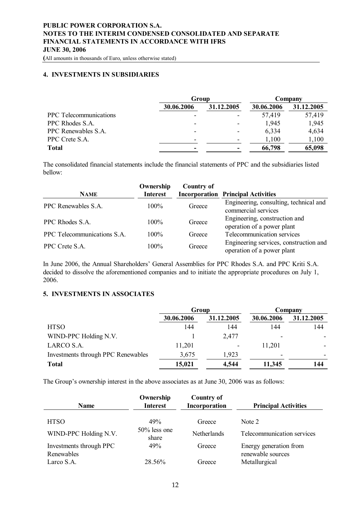**(**All amounts in thousands of Euro, unless otherwise stated)

#### **4. INVESTMENTS IN SUBSIDIARIES**

|                               | Group                    |            | Company    |            |  |
|-------------------------------|--------------------------|------------|------------|------------|--|
|                               | 30.06.2006               | 31.12.2005 | 30.06.2006 | 31.12.2005 |  |
| <b>PPC</b> Telecommunications |                          |            | 57,419     | 57,419     |  |
| PPC Rhodes S.A.               | $\overline{\phantom{0}}$ |            | 1,945      | 1,945      |  |
| PPC Renewables S.A.           | $\overline{\phantom{0}}$ |            | 6,334      | 4,634      |  |
| PPC Crete S.A.                | $\overline{\phantom{0}}$ |            | 1,100      | 1,100      |  |
| <b>Total</b>                  | $\,$                     |            | 66,798     | 65,098     |  |

The consolidated financial statements include the financial statements of PPC and the subsidiaries listed bellow:

| <b>NAME</b>                 | Ownership<br><b>Interest</b> | <b>Country of</b><br>Incorporation | <b>Principal Activities</b>                                          |
|-----------------------------|------------------------------|------------------------------------|----------------------------------------------------------------------|
| PPC Renewables S.A.         | $100\%$                      | Greece                             | Engineering, consulting, technical and<br>commercial services        |
| PPC Rhodes S.A.             | $100\%$                      | Greece                             | Engineering, construction and<br>operation of a power plant          |
| PPC Telecommunications S.A. | $100\%$                      | Greece                             | Telecommunication services                                           |
| PPC Crete S.A.              | $100\%$                      | Greece                             | Engineering services, construction and<br>operation of a power plant |

In June 2006, the Annual Shareholders' General Assemblies for PPC Rhodes S.A. and PPC Kriti S.A. decided to dissolve the aforementioned companies and to initiate the appropriate procedures on July 1, 2006.

#### **5. INVESTMENTS IN ASSOCIATES**

|                                    | Group      |            | Company        |            |  |
|------------------------------------|------------|------------|----------------|------------|--|
|                                    | 30.06.2006 | 31.12.2005 | 30.06.2006     | 31.12.2005 |  |
| <b>HTSO</b>                        | 144        | 144        | 144            | 144        |  |
| WIND-PPC Holding N.V.              |            | 2,477      | ۰              |            |  |
| LARCO S.A.                         | 11,201     |            | 11,201         |            |  |
| Investments through PPC Renewables | 3,675      | 1,923      | $\blacksquare$ |            |  |
| <b>Total</b>                       | 15,021     | 4,544      | 11,345         | 144        |  |

The Group's ownership interest in the above associates as at June 30, 2006 was as follows:

| <b>Name</b>                           | Ownership<br><b>Interest</b> | <b>Country of</b><br>Incorporation | <b>Principal Activities</b>                 |
|---------------------------------------|------------------------------|------------------------------------|---------------------------------------------|
| <b>HTSO</b>                           | 49%                          | Greece                             | Note 2                                      |
| WIND-PPC Holding N.V.                 | 50% less one<br>share        | Netherlands                        | Telecommunication services                  |
| Investments through PPC<br>Renewables | 49%                          | Greece                             | Energy generation from<br>renewable sources |
| Larco S.A.                            | 28.56%                       | Greece                             | Metallurgical                               |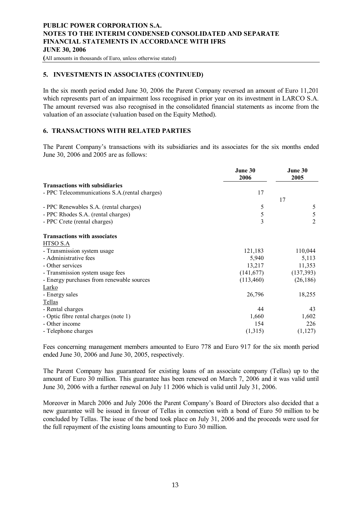**(**All amounts in thousands of Euro, unless otherwise stated)

### **5. INVESTMENTS IN ASSOCIATES (CONTINUED)**

In the six month period ended June 30, 2006 the Parent Company reversed an amount of Euro 11,201 which represents part of an impairment loss recognised in prior year on its investment in LARCO S.A. The amount reversed was also recognised in the consolidated financial statements as income from the valuation of an associate (valuation based on the Equity Method).

# **6. TRANSACTIONS WITH RELATED PARTIES**

The Parent Company's transactions with its subsidiaries and its associates for the six months ended June 30, 2006 and 2005 are as follows:

|                                                | June 30<br>2006 | June 30<br>2005 |  |
|------------------------------------------------|-----------------|-----------------|--|
| <b>Transactions with subsidiaries</b>          |                 |                 |  |
| - PPC Telecommunications S.A. (rental charges) | 17              |                 |  |
|                                                |                 | 17              |  |
| - PPC Renewables S.A. (rental charges)         | 5               | 5               |  |
| - PPC Rhodes S.A. (rental charges)             | 5               | 5               |  |
| - PPC Crete (rental charges)                   | 3               | $\overline{2}$  |  |
| <b>Transactions with associates</b>            |                 |                 |  |
| HTSO S.A                                       |                 |                 |  |
| - Transmission system usage                    | 121,183         | 110,044         |  |
| - Administrative fees                          | 5,940           | 5,113           |  |
| - Other services                               | 13,217          | 11,353          |  |
| - Transmission system usage fees               | (141, 677)      | (137, 393)      |  |
| - Energy purchases from renewable sources      | (113,460)       | (26, 186)       |  |
| Larko                                          |                 |                 |  |
| - Energy sales                                 | 26,796          | 18,255          |  |
| Tellas                                         |                 |                 |  |
| - Rental charges                               | 44              | 43              |  |
| - Optic fibre rental charges (note 1)          | 1,660           | 1,602           |  |
| - Other income                                 | 154             | 226             |  |
| - Telephone charges                            | (1,315)         | (1,127)         |  |

Fees concerning management members amounted to Euro 778 and Euro 917 for the six month period ended June 30, 2006 and June 30, 2005, respectively.

The Parent Company has guaranteed for existing loans of an associate company (Tellas) up to the amount of Euro 30 million. This guarantee has been renewed on March 7, 2006 and it was valid until June 30, 2006 with a further renewal on July 11 2006 which is valid until July 31, 2006.

Moreover in March 2006 and July 2006 the Parent Company's Board of Directors also decided that a new guarantee will be issued in favour of Tellas in connection with a bond of Euro 50 million to be concluded by Tellas. The issue of the bond took place on July 31, 2006 and the proceeds were used for the full repayment of the existing loans amounting to Euro 30 million.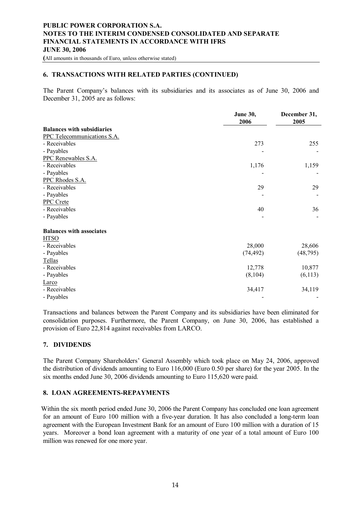**(**All amounts in thousands of Euro, unless otherwise stated)

#### **6. TRANSACTIONS WITH RELATED PARTIES (CONTINUED)**

The Parent Company's balances with its subsidiaries and its associates as of June 30, 2006 and December 31, 2005 are as follows:

|                                   | <b>June 30,</b><br>2006 | December 31,<br>2005 |
|-----------------------------------|-------------------------|----------------------|
| <b>Balances with subsidiaries</b> |                         |                      |
| PPC Telecommunications S.A.       |                         |                      |
| - Receivables                     | 273                     | 255                  |
| - Payables                        |                         |                      |
| PPC Renewables S.A.               |                         |                      |
| - Receivables                     | 1,176                   | 1,159                |
| - Payables                        |                         |                      |
| PPC Rhodes S.A.                   |                         |                      |
| - Receivables                     | 29                      | 29                   |
| - Payables                        |                         |                      |
| <b>PPC</b> Crete                  |                         |                      |
| - Receivables                     | 40                      | 36                   |
| - Payables                        |                         |                      |
| <b>Balances with associates</b>   |                         |                      |
| <b>HTSO</b>                       |                         |                      |
| - Receivables                     | 28,000                  | 28,606               |
| - Payables                        | (74, 492)               | (48, 795)            |
| Tellas                            |                         |                      |
| - Receivables                     | 12,778                  | 10,877               |
| - Payables                        | (8, 104)                | (6, 113)             |
| Larco                             |                         |                      |
| - Receivables                     | 34,417                  | 34,119               |
| - Payables                        |                         |                      |

Transactions and balances between the Parent Company and its subsidiaries have been eliminated for consolidation purposes. Furthermore, the Parent Company, on June 30, 2006, has established a provision of Euro 22,814 against receivables from LARCO.

#### **7. DIVIDENDS**

The Parent Company Shareholders' General Assembly which took place on May 24, 2006, approved the distribution of dividends amounting to Euro 116,000 (Euro 0.50 per share) for the year 2005. In the six months ended June 30, 2006 dividends amounting to Euro 115,620 were paid.

#### **8. LOAN AGREEMENTS-REPAYMENTS**

Within the six month period ended June 30, 2006 the Parent Company has concluded one loan agreement for an amount of Euro 100 million with a five-year duration. It has also concluded a long-term loan agreement with the European Investment Bank for an amount of Euro 100 million with a duration of 15 years. Moreover a bond loan agreement with a maturity of one year of a total amount of Euro 100 million was renewed for one more year.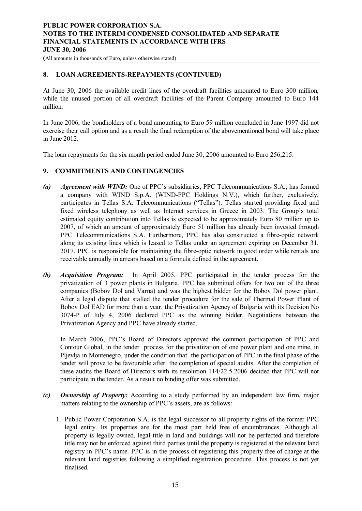**(**All amounts in thousands of Euro, unless otherwise stated)

### **8. LOAN AGREEMENTS-REPAYMENTS (CONTINUED)**

At June 30, 2006 the available credit lines of the overdraft facilities amounted to Euro 300 million, while the unused portion of all overdraft facilities of the Parent Company amounted to Euro 144 million.

In June 2006, the bondholders of a bond amounting to Euro 59 million concluded in June 1997 did not exercise their call option and as a result the final redemption of the abovementioned bond will take place in June 2012.

The loan repayments for the six month period ended June 30, 2006 amounted to Euro 256,215.

#### **9. COMMITMENTS AND CONTINGENCIES**

- *(a) Agreement with WIND:* One of PPC's subsidiaries, PPC Telecommunications S.A., has formed a company with WIND S.p.A. (WIND-PPC Holdings N.V.), which further, exclusively, participates in Tellas S.A. Telecommunications ("Tellas"). Tellas started providing fixed and fixed wireless telephony as well as Internet services in Greece in 2003. The Group's total estimated equity contribution into Tellas is expected to be approximately Euro 80 million up to 2007, of which an amount of approximately Euro 51 million has already been invested through PPC Telecommunications S.A. Furthermore, PPC has also constructed a fibre-optic network along its existing lines which is leased to Tellas under an agreement expiring on December 31, 2017. PPC is responsible for maintaining the fibre-optic network in good order while rentals are receivable annually in arrears based on a formula defined in the agreement.
- *(b) Acquisition Program:* In April 2005, PPC participated in the tender process for the privatization of 3 power plants in Bulgaria. PPC has submitted offers for two out of the three companies (Bobov Dol and Varna) and was the highest bidder for the Bobov Dol power plant. After a legal dispute that stalled the tender procedure for the sale of Thermal Power Plant of Bobov Dol EAD for more than a year, the Privatization Agency of Bulgaria with its Decision No 3074-P of July 4, 2006 declared PPC as the winning bidder. Negotiations between the Privatization Agency and PPC have already started.

In March 2006, PPC's Board of Directors approved the common participation of PPC and Contour Global, in the tender process for the privatization of one power plant and one mine, in Pljevlja in Montenegro, under the condition that the participation of PPC in the final phase of the tender will prove to be favourable after the completion of special audits. After the completion of these audits the Board of Directors with its resolution 114/22.5.2006 decided that PPC will not participate in the tender. As a result no binding offer was submitted.

- *(c) Ownership of Property:* According to a study performed by an independent law firm, major matters relating to the ownership of PPC's assets, are as follows:
	- 1. Public Power Corporation S.A. is the legal successor to all property rights of the former PPC legal entity. Its properties are for the most part held free of encumbrances. Although all property is legally owned, legal title in land and buildings will not be perfected and therefore title may not be enforced against third parties until the property is registered at the relevant land registry in PPC's name. PPC is in the process of registering this property free of charge at the relevant land registries following a simplified registration procedure. This process is not yet finalised.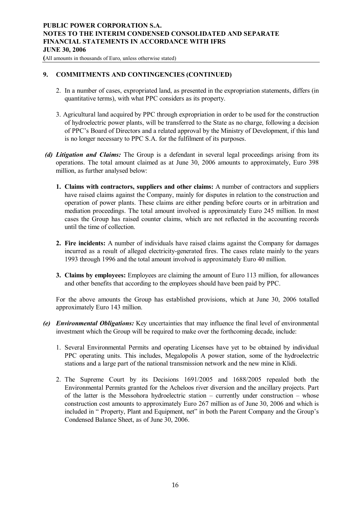**(**All amounts in thousands of Euro, unless otherwise stated)

#### **9. COMMITMENTS AND CONTINGENCIES (CONTINUED)**

- 2. In a number of cases, expropriated land, as presented in the expropriation statements, differs (in quantitative terms), with what PPC considers as its property.
- 3. Agricultural land acquired by PPC through expropriation in order to be used for the construction of hydroelectric power plants, will be transferred to the State as no charge, following a decision of PPC's Board of Directors and a related approval by the Ministry of Development, if this land is no longer necessary to PPC S.A. for the fulfilment of its purposes.
- *(d) Litigation and Claims:* The Group is a defendant in several legal proceedings arising from its operations. The total amount claimed as at June 30, 2006 amounts to approximately, Euro 398 million, as further analysed below:
	- **1. Claims with contractors, suppliers and other claims:** A number of contractors and suppliers have raised claims against the Company, mainly for disputes in relation to the construction and operation of power plants. These claims are either pending before courts or in arbitration and mediation proceedings. The total amount involved is approximately Euro 245 million. In most cases the Group has raised counter claims, which are not reflected in the accounting records until the time of collection.
	- **2. Fire incidents:** A number of individuals have raised claims against the Company for damages incurred as a result of alleged electricity-generated fires. The cases relate mainly to the years 1993 through 1996 and the total amount involved is approximately Euro 40 million.
	- **3. Claims by employees:** Employees are claiming the amount of Euro 113 million, for allowances and other benefits that according to the employees should have been paid by PPC.

For the above amounts the Group has established provisions, which at June 30, 2006 totalled approximately Euro 143 million.

- *(e) Environmental Obligations:* Key uncertainties that may influence the final level of environmental investment which the Group will be required to make over the forthcoming decade, include:
	- 1. Several Environmental Permits and operating Licenses have yet to be obtained by individual PPC operating units. This includes, Megalopolis A power station, some of the hydroelectric stations and a large part of the national transmission network and the new mine in Klidi.
	- 2. The Supreme Court by its Decisions 1691/2005 and 1688/2005 repealed both the Environmental Permits granted for the Acheloos river diversion and the ancillary projects. Part of the latter is the Messohora hydroelectric station – currently under construction – whose construction cost amounts to approximately Euro 267 million as of June 30, 2006 and which is included in " Property, Plant and Equipment, net" in both the Parent Company and the Group's Condensed Balance Sheet, as of June 30, 2006.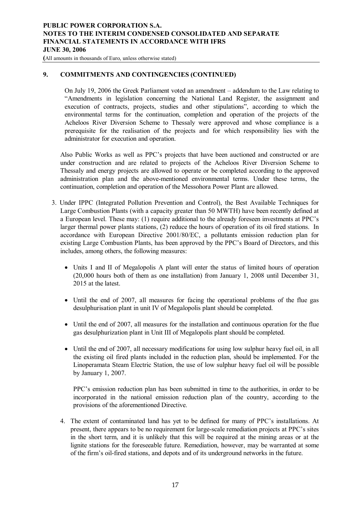**(**All amounts in thousands of Euro, unless otherwise stated)

#### **9. COMMITMENTS AND CONTINGENCIES (CONTINUED)**

On July 19, 2006 the Greek Parliament voted an amendment – addendum to the Law relating to "Amendments in legislation concerning the National Land Register, the assignment and execution of contracts, projects, studies and other stipulations", according to which the environmental terms for the continuation, completion and operation of the projects of the Acheloos River Diversion Scheme to Thessaly were approved and whose compliance is a prerequisite for the realisation of the projects and for which responsibility lies with the administrator for execution and operation.

Also Public Works as well as PPC's projects that have been auctioned and constructed or are under construction and are related to projects of the Acheloos River Diversion Scheme to Thessaly and energy projects are allowed to operate or be completed according to the approved administration plan and the above-mentioned environmental terms. Under these terms, the continuation, completion and operation of the Messohora Power Plant are allowed.

- 3. Under IPPC (Integrated Pollution Prevention and Control), the Best Available Techniques for Large Combustion Plants (with a capacity greater than 50 MWTH) have been recently defined at a European level. These may: (1) require additional to the already foreseen investments at PPC's larger thermal power plants stations, (2) reduce the hours of operation of its oil fired stations. In accordance with European Directive 2001/80/EC, a pollutants emission reduction plan for existing Large Combustion Plants, has been approved by the PPC's Board of Directors, and this includes, among others, the following measures:
	- · Units I and II of Megalopolis A plant will enter the status of limited hours of operation (20,000 hours both of them as one installation) from January 1, 2008 until December 31, 2015 at the latest.
	- · Until the end of 2007, all measures for facing the operational problems of the flue gas desulphurisation plant in unit IV of Megalopolis plant should be completed.
	- Until the end of 2007, all measures for the installation and continuous operation for the flue gas desulphurization plant in Unit III of Megalopolis plant should be completed.
	- Until the end of 2007, all necessary modifications for using low sulphur heavy fuel oil, in all the existing oil fired plants included in the reduction plan, should be implemented. For the Linoperamata Steam Electric Station, the use of low sulphur heavy fuel oil will be possible by January 1, 2007.

PPC's emission reduction plan has been submitted in time to the authorities, in order to be incorporated in the national emission reduction plan of the country, according to the provisions of the aforementioned Directive.

4. The extent of contaminated land has yet to be defined for many of PPC's installations. At present, there appears to be no requirement for large-scale remediation projects at PPC's sites in the short term, and it is unlikely that this will be required at the mining areas or at the lignite stations for the foreseeable future. Remediation, however, may be warranted at some of the firm's oil-fired stations, and depots and of its underground networks in the future.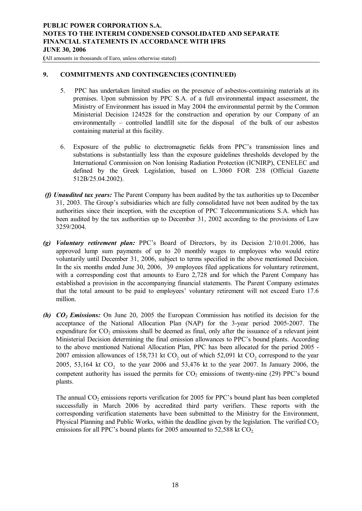**(**All amounts in thousands of Euro, unless otherwise stated)

#### **9. COMMITMENTS AND CONTINGENCIES (CONTINUED)**

- 5. PPC has undertaken limited studies on the presence of asbestos-containing materials at its premises. Upon submission by PPC S.A. of a full environmental impact assessment, the Ministry of Environment has issued in May 2004 the environmental permit by the Common Ministerial Decision 124528 for the construction and operation by our Company of an environmentally – controlled landfill site for the disposal of the bulk of our asbestos containing material at this facility.
- 6. Exposure of the public to electromagnetic fields from PPC's transmission lines and substations is substantially less than the exposure guidelines thresholds developed by the International Commission on Non Ionising Radiation Protection (ICNIRP), CENELEC and defined by the Greek Legislation, based on L.3060 FOR 238 (Official Gazette 512B/25.04.2002).
- *(f) Unaudited tax years:* The Parent Company has been audited by the tax authorities up to December 31, 2003. The Group's subsidiaries which are fully consolidated have not been audited by the tax authorities since their inception, with the exception of PPC Telecommunications S.A. which has been audited by the tax authorities up to December 31, 2002 according to the provisions of Law 3259/2004.
- *(g) Voluntary retirement plan:* PPC's Board of Directors, by its Decision 2/10.01.2006, has approved lump sum payments of up to 20 monthly wages to employees who would retire voluntarily until December 31, 2006, subject to terms specified in the above mentioned Decision. In the six months ended June 30, 2006, 39 employees filed applications for voluntary retirement, with a corresponding cost that amounts to Euro 2,728 and for which the Parent Company has established a provision in the accompanying financial statements. The Parent Company estimates that the total amount to be paid to employees' voluntary retirement will not exceed Euro 17.6 million.
- *(h) CO2 Emissions:* On June 20, 2005 the European Commission has notified its decision for the acceptance of the National Allocation Plan (NAP) for the 3-year period 2005-2007. The expenditure for  $CO<sub>2</sub>$  emissions shall be deemed as final, only after the issuance of a relevant joint Ministerial Decision determining the final emission allowances to PPC's bound plants. According to the above mentioned National Allocation Plan, PPC has been allocated for the period 2005 - 2007 emission allowances of 158,731 kt  $CO_2$  out of which 52,091 kt  $CO_2$  correspond to the year 2005, 53,164 kt  $CO_2$  to the year 2006 and 53,476 kt to the year 2007. In January 2006, the competent authority has issued the permits for  $CO<sub>2</sub>$  emissions of twenty-nine (29) PPC's bound plants.

The annual  $CO<sub>2</sub>$  emissions reports verification for 2005 for PPC's bound plant has been completed successfully in March 2006 by accredited third party verifiers. These reports with the corresponding verification statements have been submitted to the Ministry for the Environment, Physical Planning and Public Works, within the deadline given by the legislation. The verified  $CO<sub>2</sub>$ emissions for all PPC's bound plants for 2005 amounted to  $52,588$  kt  $CO<sub>2</sub>$ .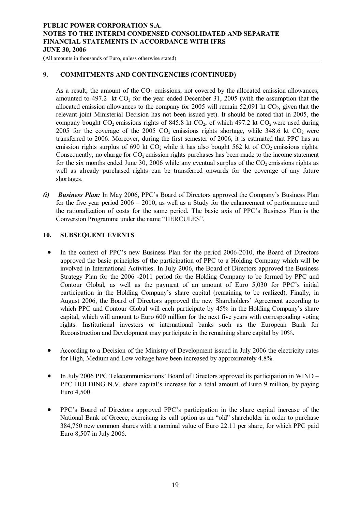**(**All amounts in thousands of Euro, unless otherwise stated)

## **9. COMMITMENTS AND CONTINGENCIES (CONTINUED)**

As a result, the amount of the  $CO<sub>2</sub>$  emissions, not covered by the allocated emission allowances, amounted to  $497.2$  kt  $CO<sub>2</sub>$  for the year ended December 31, 2005 (with the assumption that the allocated emission allowances to the company for 2005 will remain  $52,091$  kt  $CO<sub>2</sub>$ , given that the relevant joint Ministerial Decision has not been issued yet). It should be noted that in 2005, the company bought  $CO_2$  emissions rights of 845.8 kt  $CO_2$ , of which 497.2 kt  $CO_2$  were used during 2005 for the coverage of the 2005 CO<sub>2</sub> emissions rights shortage, while 348.6 kt CO<sub>2</sub> were transferred to 2006. Moreover, during the first semester of 2006, it is estimated that PPC has an emission rights surplus of 690 kt  $CO<sub>2</sub>$  while it has also bought 562 kt of  $CO<sub>2</sub>$  emissions rights. Consequently, no charge for  $CO<sub>2</sub>$  emission rights purchases has been made to the income statement for the six months ended June 30, 2006 while any eventual surplus of the  $CO<sub>2</sub>$  emissions rights as well as already purchased rights can be transferred onwards for the coverage of any future shortages.

*(i) Business Plan:* In May 2006, PPC's Board of Directors approved the Company's Business Plan for the five year period 2006 – 2010, as well as a Study for the enhancement of performance and the rationalization of costs for the same period. The basic axis of PPC's Business Plan is the Conversion Programme under the name "HERCULES".

#### **10. SUBSEQUENT EVENTS**

- In the context of PPC's new Business Plan for the period 2006-2010, the Board of Directors approved the basic principles of the participation of PPC to a Holding Company which will be involved in International Activities. In July 2006, the Board of Directors approved the Business Strategy Plan for the 2006 -2011 period for the Holding Company to be formed by PPC and Contour Global, as well as the payment of an amount of Euro 5,030 for PPC's initial participation in the Holding Company's share capital (remaining to be realized). Finally, in August 2006, the Board of Directors approved the new Shareholders' Agreement according to which PPC and Contour Global will each participate by 45% in the Holding Company's share capital, which will amount to Euro 600 million for the next five years with corresponding voting rights. Institutional investors or international banks such as the European Bank for Reconstruction and Development may participate in the remaining share capital by 10%.
- According to a Decision of the Ministry of Development issued in July 2006 the electricity rates for High, Medium and Low voltage have been increased by approximately 4.8%.
- In July 2006 PPC Telecommunications' Board of Directors approved its participation in WIND PPC HOLDING N.V. share capital's increase for a total amount of Euro 9 million, by paying Euro 4,500.
- · PPC's Board of Directors approved PPC's participation in the share capital increase of the National Bank of Greece, exercising its call option as an "old" shareholder in order to purchase 384,750 new common shares with a nominal value of Euro 22.11 per share, for which PPC paid Euro 8,507 in July 2006.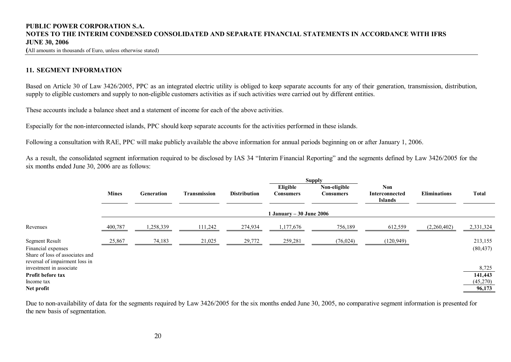**(**All amounts in thousands of Euro, unless otherwise stated)

# **11. SEGMENT INFORMATION**

Based on Article 30 of Law 3426/2005, PPC as an integrated electric utility is obliged to keep separate accounts for any of their generation, transmission, distribution, supply to eligible customers and supply to non-eligible customers activities as if such activities were carried out by different entities.

These accounts include a balance sheet and a statement of income for each of the above activities.

Especially for the non-interconnected islands, PPC should keep separate accounts for the activities performed in these islands.

Following a consultation with RAE, PPC will make publicly available the above information for annual periods beginning on or after January 1, 2006.

As a result, the consolidated segment information required to be disclosed by IAS 34 "Interim Financial Reporting" and the segments defined by Law 3426/2005 for the six months ended June 30, 2006 are as follows:

|                                                                                                                  |                              |            |                     |                     |                       | <b>Supply</b>                    |                                                |                     |                      |  |  |
|------------------------------------------------------------------------------------------------------------------|------------------------------|------------|---------------------|---------------------|-----------------------|----------------------------------|------------------------------------------------|---------------------|----------------------|--|--|
|                                                                                                                  | <b>Mines</b>                 | Generation | <b>Transmission</b> | <b>Distribution</b> | Eligible<br>Consumers | Non-eligible<br><b>Consumers</b> | <b>Non</b><br>Interconnected<br><b>Islands</b> | <b>Eliminations</b> | <b>Total</b>         |  |  |
|                                                                                                                  | 1 January – $30$ June $2006$ |            |                     |                     |                       |                                  |                                                |                     |                      |  |  |
| Revenues                                                                                                         | 400,787                      | 1,258,339  | 111,242             | 274,934             | 1,177,676             | 756,189                          | 612,559                                        | (2,260,402)         | 2,331,324            |  |  |
| <b>Segment Result</b><br>Financial expenses<br>Share of loss of associates and<br>reversal of impairment loss in | 25,867                       | 74,183     | 21,025              | 29,772              | 259,281               | (76, 024)                        | (120, 949)                                     |                     | 213,155<br>(80, 437) |  |  |
| investment in associate<br>Profit before tax                                                                     |                              |            |                     |                     |                       |                                  |                                                |                     | 8,725<br>141,443     |  |  |
| Income tax                                                                                                       |                              |            |                     |                     |                       |                                  |                                                |                     | (45,270)             |  |  |
| Net profit                                                                                                       |                              |            |                     |                     |                       |                                  |                                                |                     | 96,173               |  |  |

Due to non-availability of data for the segments required by Law 3426/2005 for the six months ended June 30, 2005, no comparative segment information is presented for the new basis of segmentation.